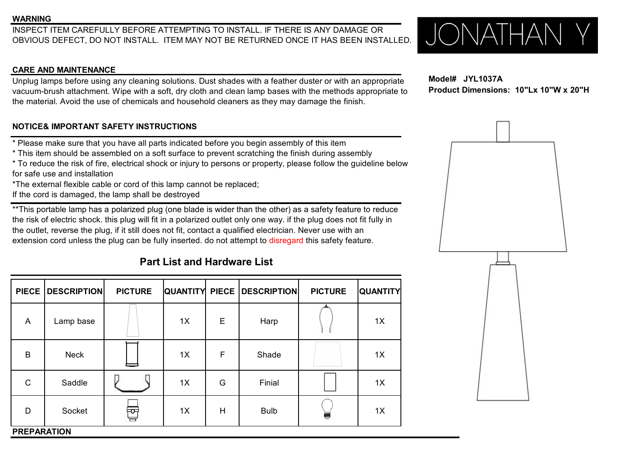### **WARNING**

INSPECT ITEM CAREFULLY BEFORE ATTEMPTING TO INSTALL. IF THERE IS ANY DAMAGE OR OBVIOUS DEFECT, DO NOT INSTALL. ITEM MAY NOT BE RETURNED ONCE IT HAS BEEN INSTALLED.  $\bigcup_{i} \bigcap_{i} \bigcap_{i} \bigcap_{j} \bigcap_{j} \bigcap_{j} \bigcap_{j} \bigcap_{j} \bigcap_{j} \bigcap$ OBVIOUS DEFECT, DO NOT INSTALL. ITEM MAY NOT BE RETURNED ONCE IT HAS BEEN INSTALLED.

### **CARE AND MAINTENANCE**

Unplug lamps before using any cleaning solutions. Dust shades with a feather duster or with an appropriate vacuum-brush attachment. Wipe with a soft, dry cloth and clean lamp bases with the methods appropriate to the material. Avoid the use of chemicals and household cleaners as they may damage the finish.

## **NOTICE& IMPORTANT SAFETY INSTRUCTIONS**

- \* Please make sure that you have all parts indicated before you begin assembly of this item
- \* This item should be assembled on a soft surface to prevent scratching the finish during assembly
- \* To reduce the risk of fire, electrical shock or injury to persons or property, please follow the guideline below for safe use and installation
- \*The external flexible cable or cord of this lamp cannot be replaced;
- If the cord is damaged, the lamp shall be destroyed

\*\*This portable lamp has a polarized plug (one blade is wider than the other) as a safety feature to reduce the risk of electric shock. this plug will fit in a polarized outlet only one way. if the plug does not fit fully in the outlet, reverse the plug, if it still does not fit, contact a qualified electrician. Never use with an extension cord unless the plug can be fully inserted. do not attempt to disregard this safety feature.

## **Part List and Hardware List**

|                    | PIECE   DESCRIPTION | <b>PICTURE</b> |    |   | QUANTITY PIECE DESCRIPTION | <b>PICTURE</b> | <b>QUANTITY</b> |
|--------------------|---------------------|----------------|----|---|----------------------------|----------------|-----------------|
| $\overline{A}$     | Lamp base           |                | 1X | E | Harp                       |                | 1X              |
| B                  | <b>Neck</b>         |                | 1X | F | Shade                      |                | 1X              |
| $\mathsf{C}$       | Saddle              |                | 1X | G | Finial                     |                | 1X              |
| D                  | Socket              | च्चि<br>급      | 1X | Н | <b>Bulb</b>                | U              | 1X              |
| <b>PREPARATION</b> |                     |                |    |   |                            |                |                 |



**Model# JYL1037A Product Dimensions: 10"Lx 10"W x 20"H**